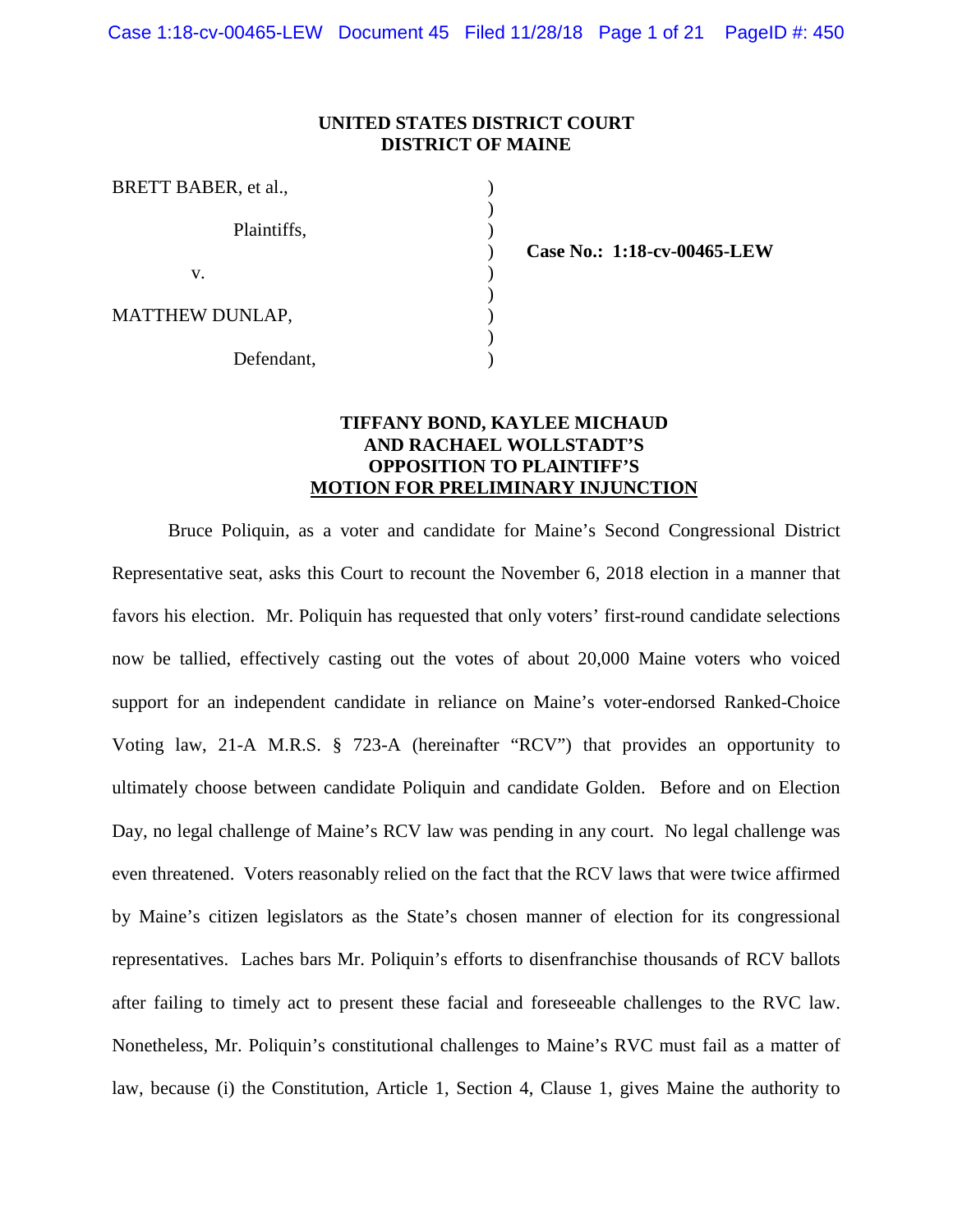### **UNITED STATES DISTRICT COURT DISTRICT OF MAINE**

| BRETT BABER, et al.,   |  |
|------------------------|--|
| Plaintiffs,            |  |
| V.                     |  |
| <b>MATTHEW DUNLAP,</b> |  |
| Defendant,             |  |

**Case No.: 1:18-cv-00465-LEW**

### **TIFFANY BOND, KAYLEE MICHAUD AND RACHAEL WOLLSTADT'S OPPOSITION TO PLAINTIFF'S MOTION FOR PRELIMINARY INJUNCTION**

Bruce Poliquin, as a voter and candidate for Maine's Second Congressional District Representative seat, asks this Court to recount the November 6, 2018 election in a manner that favors his election. Mr. Poliquin has requested that only voters' first-round candidate selections now be tallied, effectively casting out the votes of about 20,000 Maine voters who voiced support for an independent candidate in reliance on Maine's voter-endorsed Ranked-Choice Voting law, 21-A M.R.S. § 723-A (hereinafter "RCV") that provides an opportunity to ultimately choose between candidate Poliquin and candidate Golden. Before and on Election Day, no legal challenge of Maine's RCV law was pending in any court. No legal challenge was even threatened. Voters reasonably relied on the fact that the RCV laws that were twice affirmed by Maine's citizen legislators as the State's chosen manner of election for its congressional representatives. Laches bars Mr. Poliquin's efforts to disenfranchise thousands of RCV ballots after failing to timely act to present these facial and foreseeable challenges to the RVC law. Nonetheless, Mr. Poliquin's constitutional challenges to Maine's RVC must fail as a matter of law, because (i) the Constitution, Article 1, Section 4, Clause 1, gives Maine the authority to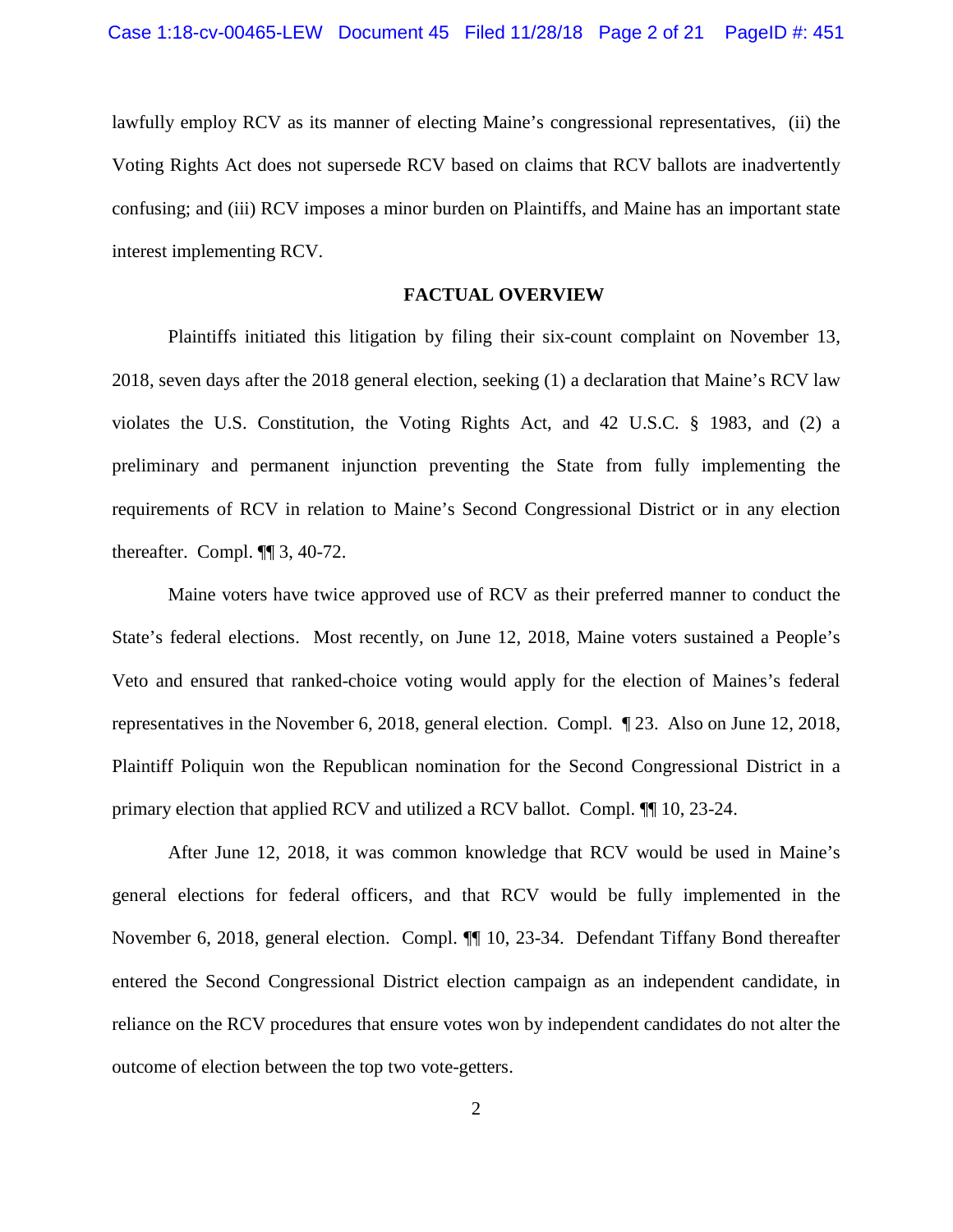lawfully employ RCV as its manner of electing Maine's congressional representatives, (ii) the Voting Rights Act does not supersede RCV based on claims that RCV ballots are inadvertently confusing; and (iii) RCV imposes a minor burden on Plaintiffs, and Maine has an important state interest implementing RCV.

#### **FACTUAL OVERVIEW**

Plaintiffs initiated this litigation by filing their six-count complaint on November 13, 2018, seven days after the 2018 general election, seeking (1) a declaration that Maine's RCV law violates the U.S. Constitution, the Voting Rights Act, and 42 U.S.C. § 1983, and (2) a preliminary and permanent injunction preventing the State from fully implementing the requirements of RCV in relation to Maine's Second Congressional District or in any election thereafter. Compl. ¶¶ 3, 40-72.

Maine voters have twice approved use of RCV as their preferred manner to conduct the State's federal elections. Most recently, on June 12, 2018, Maine voters sustained a People's Veto and ensured that ranked-choice voting would apply for the election of Maines's federal representatives in the November 6, 2018, general election. Compl. ¶ 23. Also on June 12, 2018, Plaintiff Poliquin won the Republican nomination for the Second Congressional District in a primary election that applied RCV and utilized a RCV ballot. Compl. ¶¶ 10, 23-24.

After June 12, 2018, it was common knowledge that RCV would be used in Maine's general elections for federal officers, and that RCV would be fully implemented in the November 6, 2018, general election. Compl. ¶¶ 10, 23-34. Defendant Tiffany Bond thereafter entered the Second Congressional District election campaign as an independent candidate, in reliance on the RCV procedures that ensure votes won by independent candidates do not alter the outcome of election between the top two vote-getters.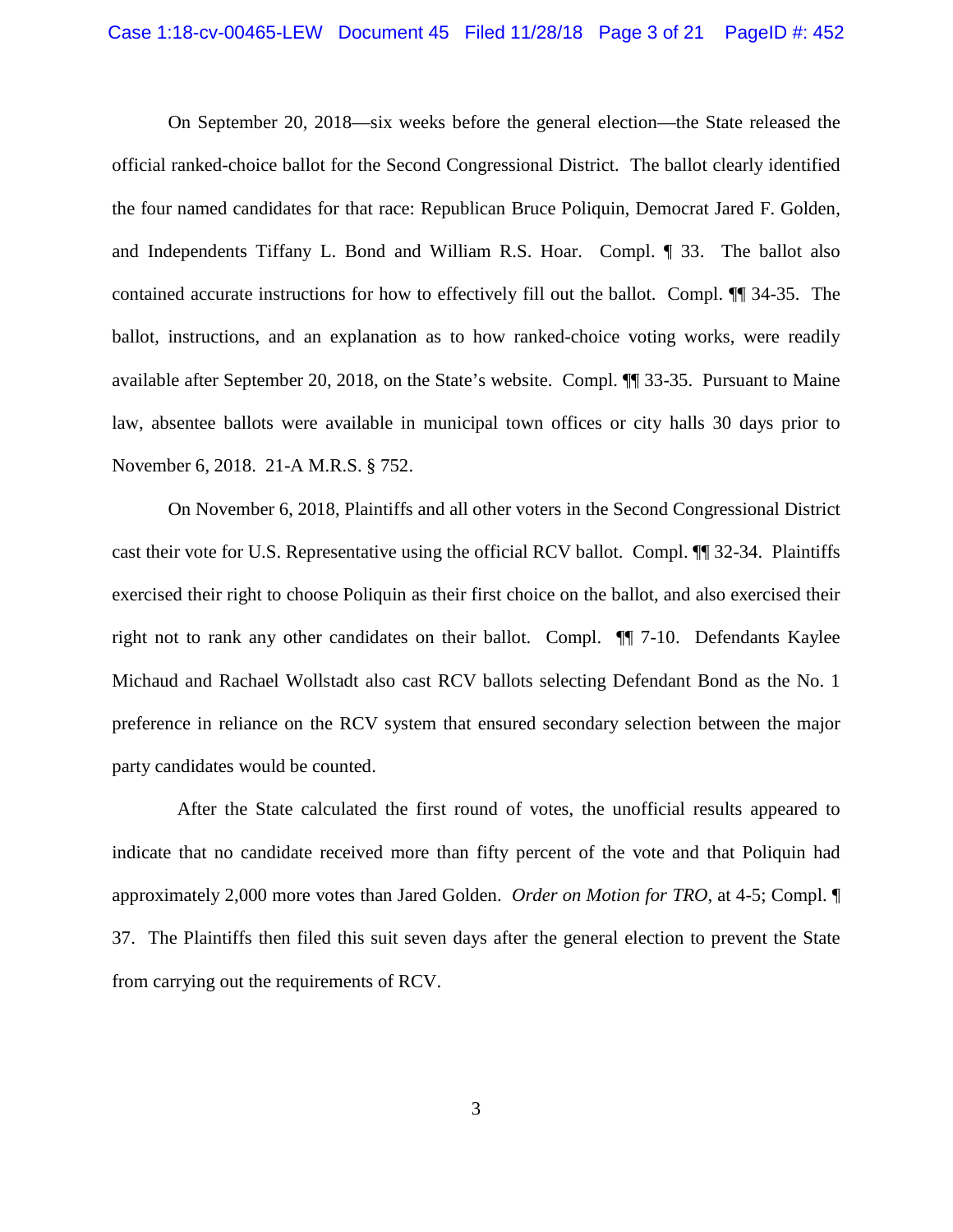On September 20, 2018—six weeks before the general election—the State released the official ranked-choice ballot for the Second Congressional District. The ballot clearly identified the four named candidates for that race: Republican Bruce Poliquin, Democrat Jared F. Golden, and Independents Tiffany L. Bond and William R.S. Hoar. Compl. ¶ 33. The ballot also contained accurate instructions for how to effectively fill out the ballot. Compl. ¶¶ 34-35. The ballot, instructions, and an explanation as to how ranked-choice voting works, were readily available after September 20, 2018, on the State's website. Compl. ¶¶ 33-35. Pursuant to Maine law, absentee ballots were available in municipal town offices or city halls 30 days prior to November 6, 2018. 21-A M.R.S. § 752.

On November 6, 2018, Plaintiffs and all other voters in the Second Congressional District cast their vote for U.S. Representative using the official RCV ballot. Compl. ¶¶ 32-34. Plaintiffs exercised their right to choose Poliquin as their first choice on the ballot, and also exercised their right not to rank any other candidates on their ballot. Compl. ¶¶ 7-10. Defendants Kaylee Michaud and Rachael Wollstadt also cast RCV ballots selecting Defendant Bond as the No. 1 preference in reliance on the RCV system that ensured secondary selection between the major party candidates would be counted.

 After the State calculated the first round of votes, the unofficial results appeared to indicate that no candidate received more than fifty percent of the vote and that Poliquin had approximately 2,000 more votes than Jared Golden. *Order on Motion for TRO*, at 4-5; Compl. ¶ 37. The Plaintiffs then filed this suit seven days after the general election to prevent the State from carrying out the requirements of RCV.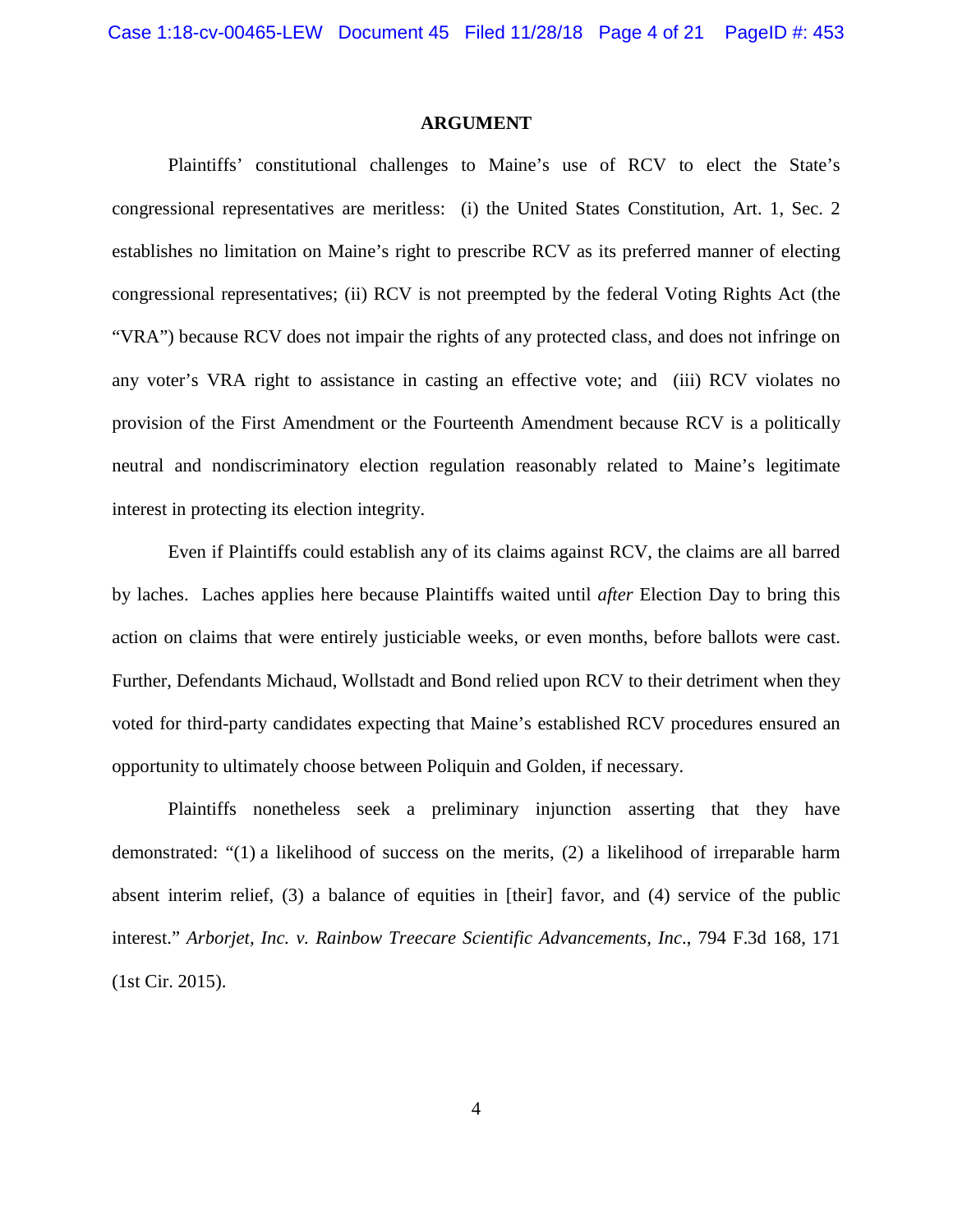#### **ARGUMENT**

Plaintiffs' constitutional challenges to Maine's use of RCV to elect the State's congressional representatives are meritless: (i) the United States Constitution, Art. 1, Sec. 2 establishes no limitation on Maine's right to prescribe RCV as its preferred manner of electing congressional representatives; (ii) RCV is not preempted by the federal Voting Rights Act (the "VRA") because RCV does not impair the rights of any protected class, and does not infringe on any voter's VRA right to assistance in casting an effective vote; and (iii) RCV violates no provision of the First Amendment or the Fourteenth Amendment because RCV is a politically neutral and nondiscriminatory election regulation reasonably related to Maine's legitimate interest in protecting its election integrity.

Even if Plaintiffs could establish any of its claims against RCV, the claims are all barred by laches. Laches applies here because Plaintiffs waited until *after* Election Day to bring this action on claims that were entirely justiciable weeks, or even months, before ballots were cast. Further, Defendants Michaud, Wollstadt and Bond relied upon RCV to their detriment when they voted for third-party candidates expecting that Maine's established RCV procedures ensured an opportunity to ultimately choose between Poliquin and Golden, if necessary.

Plaintiffs nonetheless seek a preliminary injunction asserting that they have demonstrated: "(1) a likelihood of success on the merits, (2) a likelihood of irreparable harm absent interim relief, (3) a balance of equities in [their] favor, and (4) service of the public interest." *Arborjet, Inc. v. Rainbow Treecare Scientific Advancements, Inc*., 794 F.3d 168, 171 (1st Cir. 2015).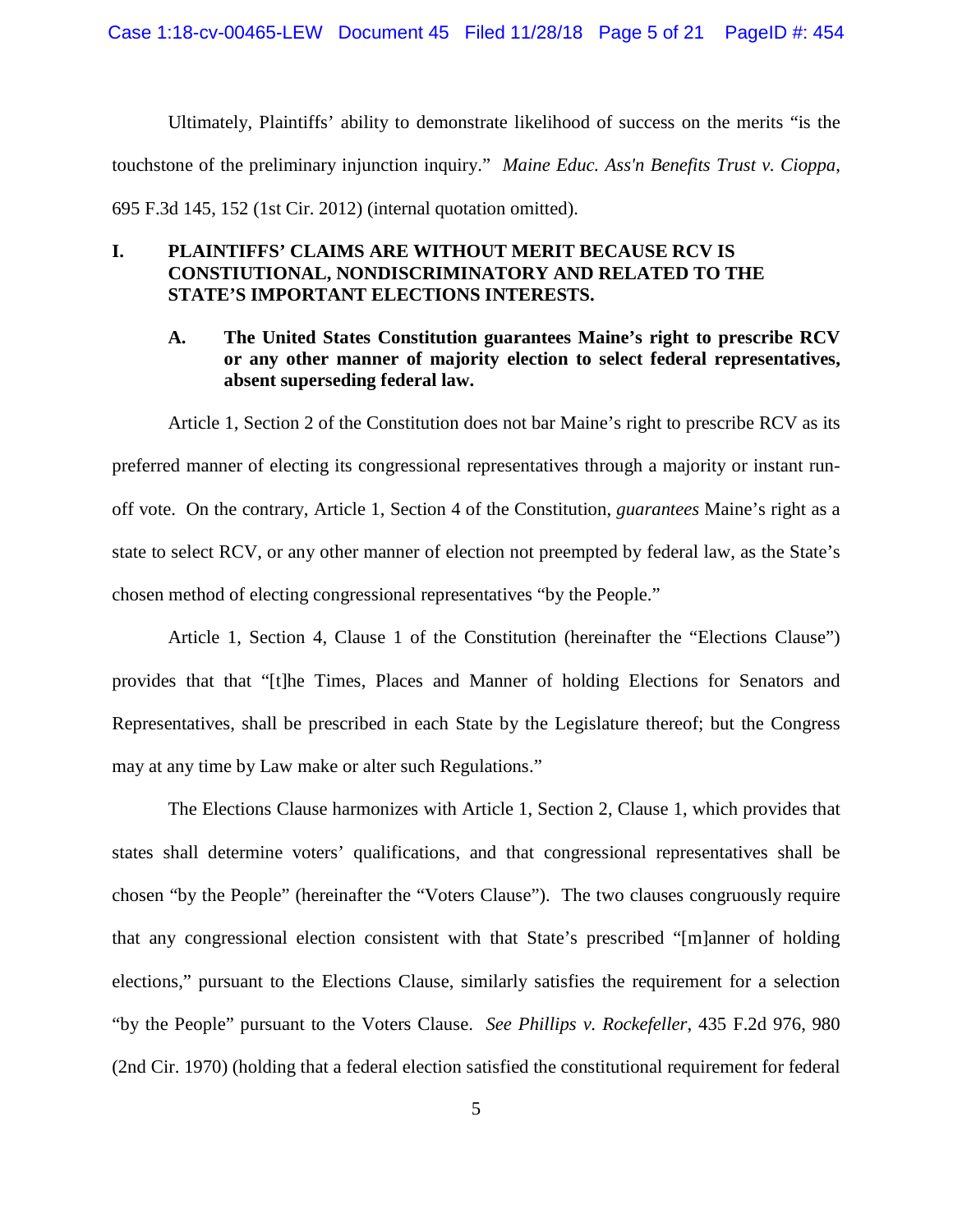Ultimately, Plaintiffs' ability to demonstrate likelihood of success on the merits "is the touchstone of the preliminary injunction inquiry." *Maine Educ. Ass'n Benefits Trust v. Cioppa*, 695 F.3d 145, 152 (1st Cir. 2012) (internal quotation omitted).

### **I. PLAINTIFFS' CLAIMS ARE WITHOUT MERIT BECAUSE RCV IS CONSTIUTIONAL, NONDISCRIMINATORY AND RELATED TO THE STATE'S IMPORTANT ELECTIONS INTERESTS.**

### **A. The United States Constitution guarantees Maine's right to prescribe RCV or any other manner of majority election to select federal representatives, absent superseding federal law.**

Article 1, Section 2 of the Constitution does not bar Maine's right to prescribe RCV as its preferred manner of electing its congressional representatives through a majority or instant runoff vote. On the contrary, Article 1, Section 4 of the Constitution, *guarantees* Maine's right as a state to select RCV, or any other manner of election not preempted by federal law, as the State's chosen method of electing congressional representatives "by the People."

Article 1, Section 4, Clause 1 of the Constitution (hereinafter the "Elections Clause") provides that that "[t]he Times, Places and Manner of holding Elections for Senators and Representatives, shall be prescribed in each State by the Legislature thereof; but the Congress may at any time by Law make or alter such Regulations."

The Elections Clause harmonizes with Article 1, Section 2, Clause 1, which provides that states shall determine voters' qualifications, and that congressional representatives shall be chosen "by the People" (hereinafter the "Voters Clause"). The two clauses congruously require that any congressional election consistent with that State's prescribed "[m]anner of holding elections," pursuant to the Elections Clause, similarly satisfies the requirement for a selection "by the People" pursuant to the Voters Clause. *See Phillips v. Rockefeller*, 435 F.2d 976, 980 (2nd Cir. 1970) (holding that a federal election satisfied the constitutional requirement for federal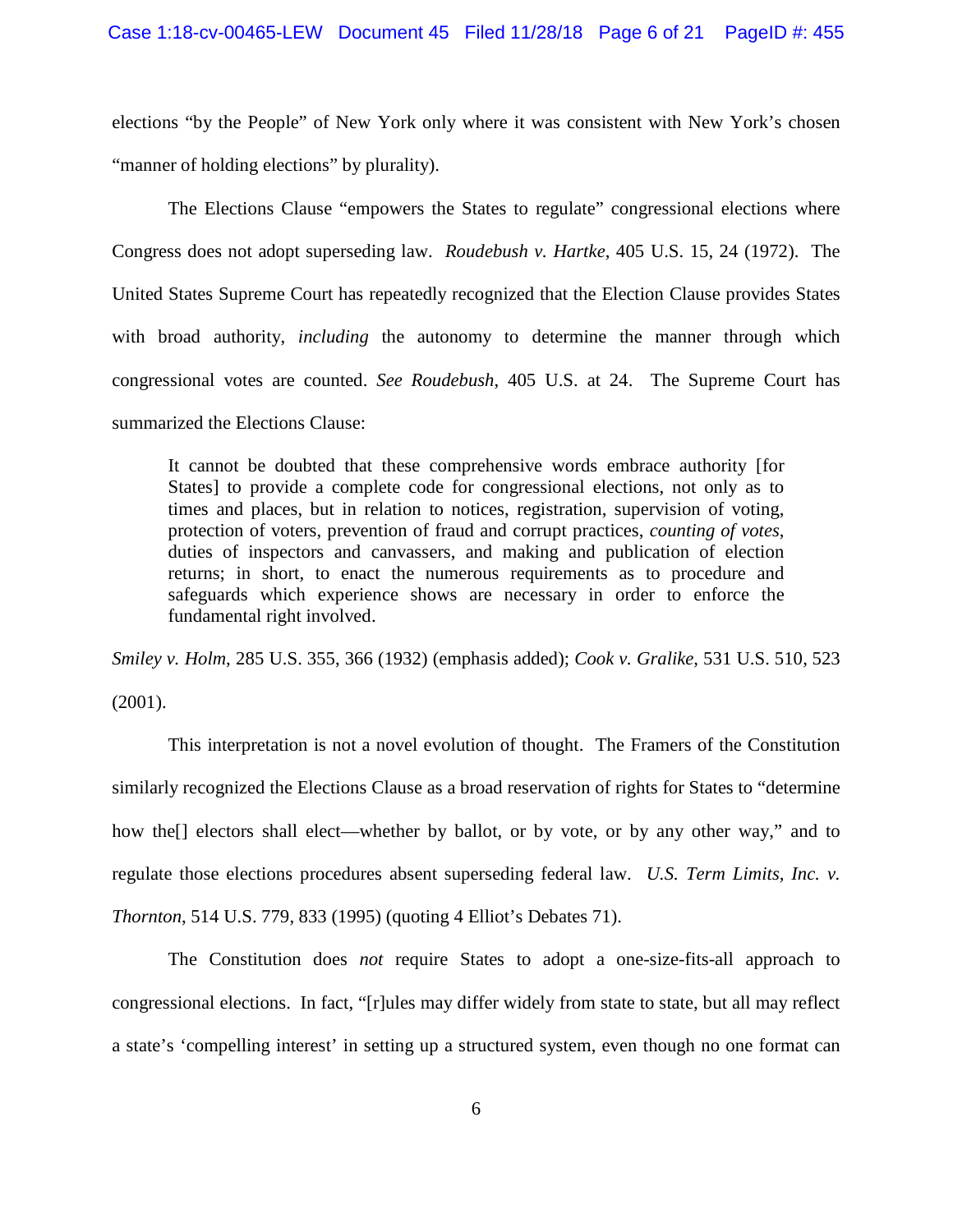elections "by the People" of New York only where it was consistent with New York's chosen "manner of holding elections" by plurality).

The Elections Clause "empowers the States to regulate" congressional elections where Congress does not adopt superseding law. *Roudebush v. Hartke*, 405 U.S. 15, 24 (1972). The United States Supreme Court has repeatedly recognized that the Election Clause provides States with broad authority, *including* the autonomy to determine the manner through which congressional votes are counted. *See Roudebush*, 405 U.S. at 24. The Supreme Court has summarized the Elections Clause:

It cannot be doubted that these comprehensive words embrace authority [for States] to provide a complete code for congressional elections, not only as to times and places, but in relation to notices, registration, supervision of voting, protection of voters, prevention of fraud and corrupt practices, *counting of votes*, duties of inspectors and canvassers, and making and publication of election returns; in short, to enact the numerous requirements as to procedure and safeguards which experience shows are necessary in order to enforce the fundamental right involved.

*Smiley v. Holm*, 285 U.S. 355, 366 (1932) (emphasis added); *Cook v. Gralike*, 531 U.S. 510, 523 (2001).

This interpretation is not a novel evolution of thought. The Framers of the Constitution similarly recognized the Elections Clause as a broad reservation of rights for States to "determine how the<sup>[]</sup> electors shall elect—whether by ballot, or by vote, or by any other way," and to regulate those elections procedures absent superseding federal law. *U.S. Term Limits, Inc. v. Thornton*, 514 U.S. 779, 833 (1995) (quoting 4 Elliot's Debates 71).

The Constitution does *not* require States to adopt a one-size-fits-all approach to congressional elections. In fact, "[r]ules may differ widely from state to state, but all may reflect a state's 'compelling interest' in setting up a structured system, even though no one format can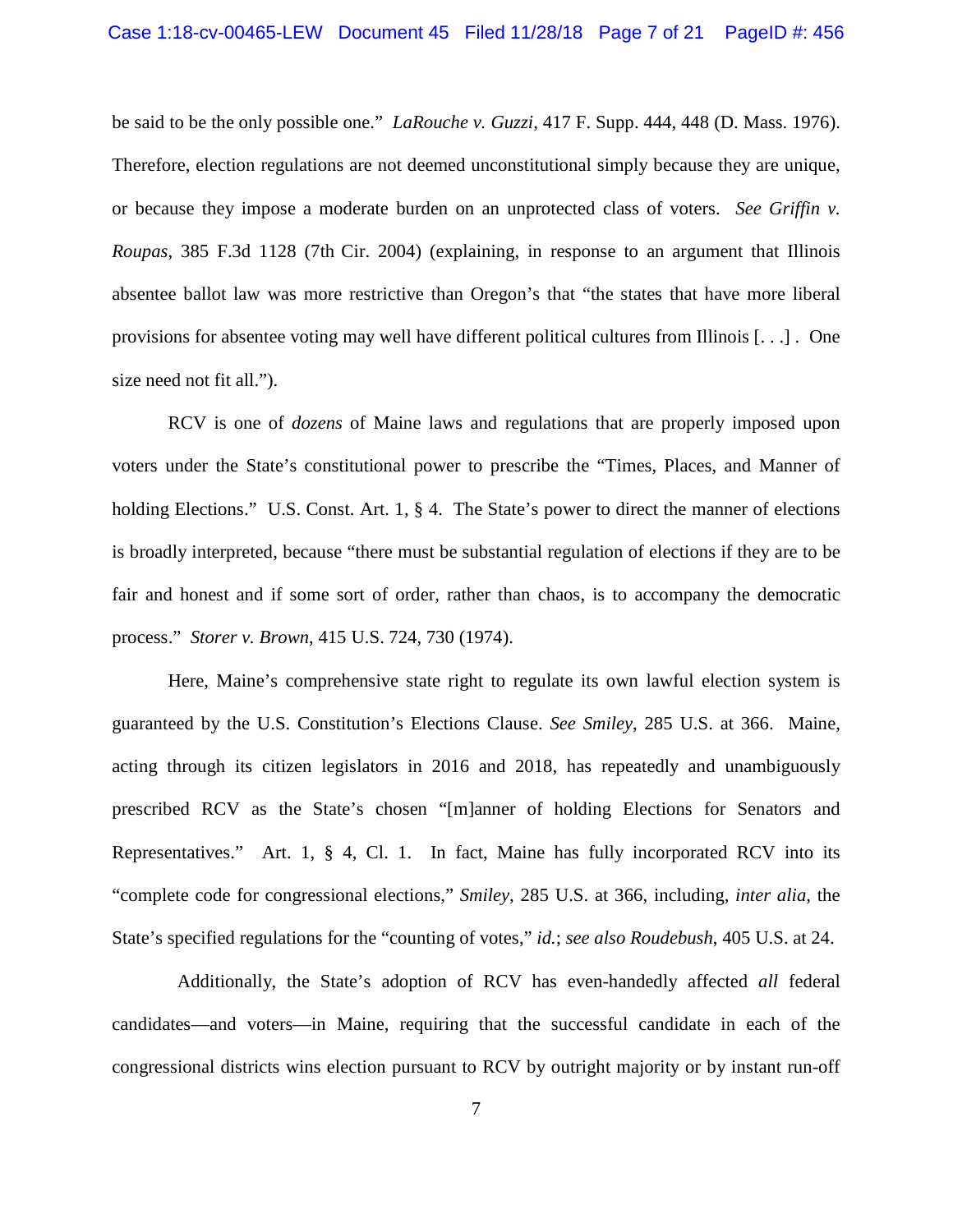#### Case 1:18-cv-00465-LEW Document 45 Filed 11/28/18 Page 7 of 21 PageID #: 456

be said to be the only possible one." *LaRouche v. Guzzi*, 417 F. Supp. 444, 448 (D. Mass. 1976). Therefore, election regulations are not deemed unconstitutional simply because they are unique, or because they impose a moderate burden on an unprotected class of voters. *See Griffin v. Roupas*, 385 F.3d 1128 (7th Cir. 2004) (explaining, in response to an argument that Illinois absentee ballot law was more restrictive than Oregon's that "the states that have more liberal provisions for absentee voting may well have different political cultures from Illinois [. . .] . One size need not fit all.").

RCV is one of *dozens* of Maine laws and regulations that are properly imposed upon voters under the State's constitutional power to prescribe the "Times, Places, and Manner of holding Elections." U.S. Const. Art. 1, § 4. The State's power to direct the manner of elections is broadly interpreted, because "there must be substantial regulation of elections if they are to be fair and honest and if some sort of order, rather than chaos, is to accompany the democratic process." *Storer v. Brown*, 415 U.S. 724, 730 (1974).

Here, Maine's comprehensive state right to regulate its own lawful election system is guaranteed by the U.S. Constitution's Elections Clause. *See Smiley*, 285 U.S. at 366. Maine, acting through its citizen legislators in 2016 and 2018, has repeatedly and unambiguously prescribed RCV as the State's chosen "[m]anner of holding Elections for Senators and Representatives." Art. 1, § 4, Cl. 1. In fact, Maine has fully incorporated RCV into its "complete code for congressional elections," *Smiley*, 285 U.S. at 366, including, *inter alia*, the State's specified regulations for the "counting of votes," *id.*; *see also Roudebush*, 405 U.S. at 24.

 Additionally, the State's adoption of RCV has even-handedly affected *all* federal candidates—and voters—in Maine, requiring that the successful candidate in each of the congressional districts wins election pursuant to RCV by outright majority or by instant run-off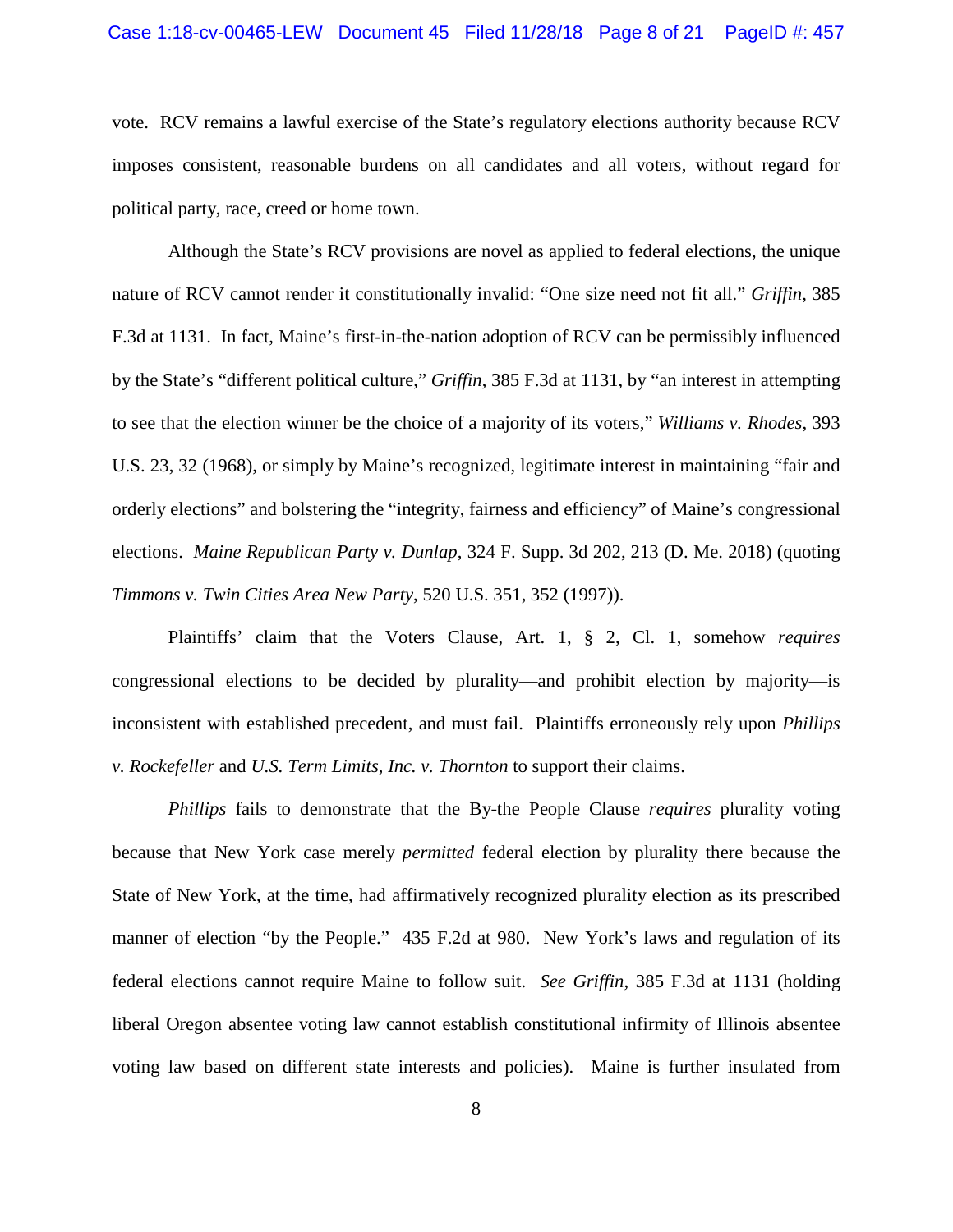#### Case 1:18-cv-00465-LEW Document 45 Filed 11/28/18 Page 8 of 21 PageID #: 457

vote. RCV remains a lawful exercise of the State's regulatory elections authority because RCV imposes consistent, reasonable burdens on all candidates and all voters, without regard for political party, race, creed or home town.

Although the State's RCV provisions are novel as applied to federal elections, the unique nature of RCV cannot render it constitutionally invalid: "One size need not fit all." *Griffin*, 385 F.3d at 1131. In fact, Maine's first-in-the-nation adoption of RCV can be permissibly influenced by the State's "different political culture," *Griffin*, 385 F.3d at 1131, by "an interest in attempting to see that the election winner be the choice of a majority of its voters," *Williams v. Rhodes*, 393 U.S. 23, 32 (1968), or simply by Maine's recognized, legitimate interest in maintaining "fair and orderly elections" and bolstering the "integrity, fairness and efficiency" of Maine's congressional elections. *Maine Republican Party v. Dunlap*, 324 F. Supp. 3d 202, 213 (D. Me. 2018) (quoting *Timmons v. Twin Cities Area New Party*, 520 U.S. 351, 352 (1997)).

Plaintiffs' claim that the Voters Clause, Art. 1, § 2, Cl. 1, somehow *requires*  congressional elections to be decided by plurality—and prohibit election by majority—is inconsistent with established precedent, and must fail. Plaintiffs erroneously rely upon *Phillips v. Rockefeller* and *U.S. Term Limits, Inc. v. Thornton* to support their claims.

*Phillips* fails to demonstrate that the By-the People Clause *requires* plurality voting because that New York case merely *permitted* federal election by plurality there because the State of New York, at the time, had affirmatively recognized plurality election as its prescribed manner of election "by the People." 435 F.2d at 980. New York's laws and regulation of its federal elections cannot require Maine to follow suit. *See Griffin*, 385 F.3d at 1131 (holding liberal Oregon absentee voting law cannot establish constitutional infirmity of Illinois absentee voting law based on different state interests and policies). Maine is further insulated from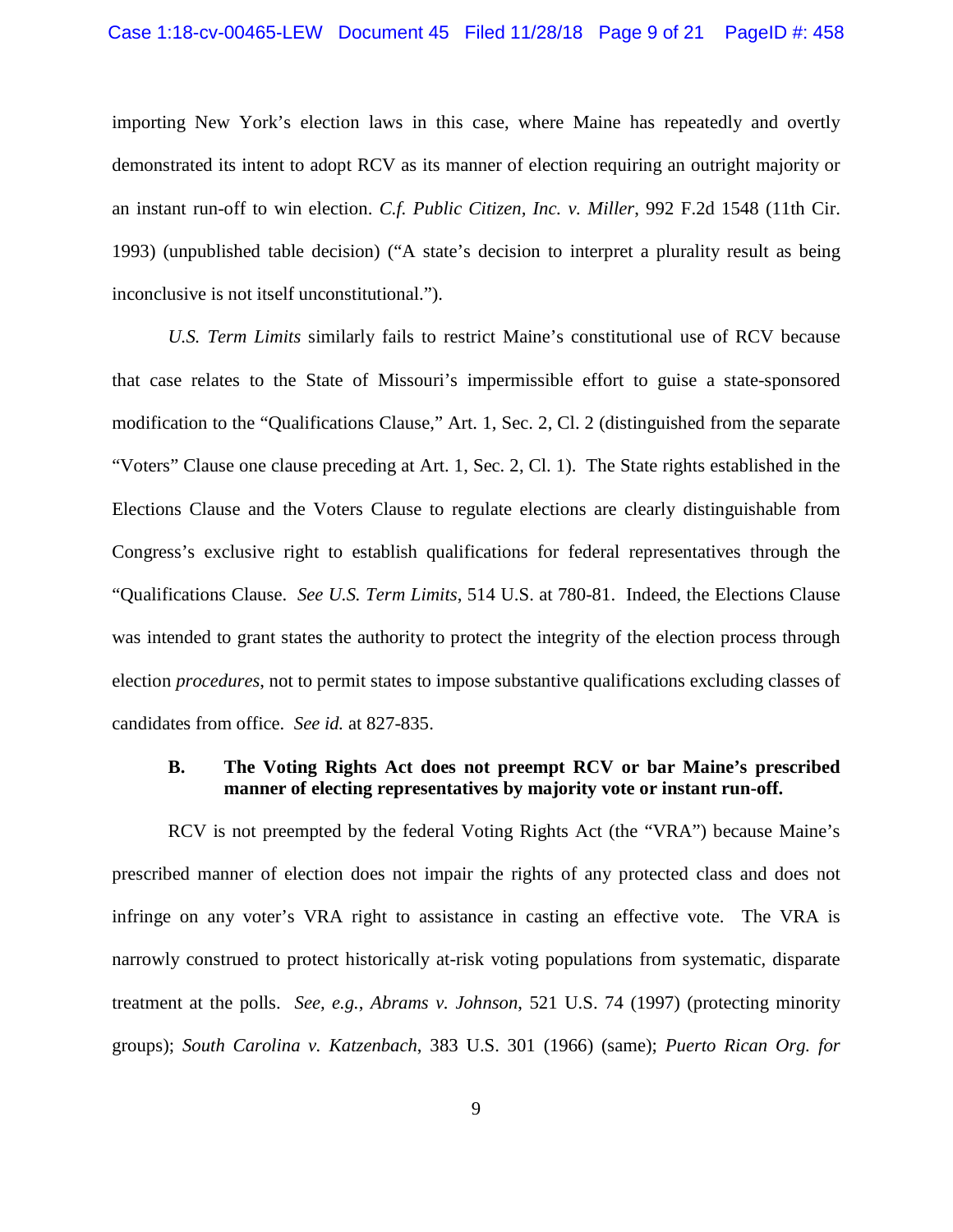importing New York's election laws in this case, where Maine has repeatedly and overtly demonstrated its intent to adopt RCV as its manner of election requiring an outright majority or an instant run-off to win election. *C.f. Public Citizen, Inc. v. Miller*, 992 F.2d 1548 (11th Cir. 1993) (unpublished table decision) ("A state's decision to interpret a plurality result as being inconclusive is not itself unconstitutional.").

*U.S. Term Limits* similarly fails to restrict Maine's constitutional use of RCV because that case relates to the State of Missouri's impermissible effort to guise a state-sponsored modification to the "Qualifications Clause," Art. 1, Sec. 2, Cl. 2 (distinguished from the separate "Voters" Clause one clause preceding at Art. 1, Sec. 2, Cl. 1). The State rights established in the Elections Clause and the Voters Clause to regulate elections are clearly distinguishable from Congress's exclusive right to establish qualifications for federal representatives through the "Qualifications Clause. *See U.S. Term Limits*, 514 U.S. at 780-81. Indeed, the Elections Clause was intended to grant states the authority to protect the integrity of the election process through election *procedures*, not to permit states to impose substantive qualifications excluding classes of candidates from office. *See id.* at 827-835.

#### **B. The Voting Rights Act does not preempt RCV or bar Maine's prescribed manner of electing representatives by majority vote or instant run-off.**

RCV is not preempted by the federal Voting Rights Act (the "VRA") because Maine's prescribed manner of election does not impair the rights of any protected class and does not infringe on any voter's VRA right to assistance in casting an effective vote. The VRA is narrowly construed to protect historically at-risk voting populations from systematic, disparate treatment at the polls. *See, e.g.*, *Abrams v. Johnson*, 521 U.S. 74 (1997) (protecting minority groups); *South Carolina v. Katzenbach*, 383 U.S. 301 (1966) (same); *Puerto Rican Org. for*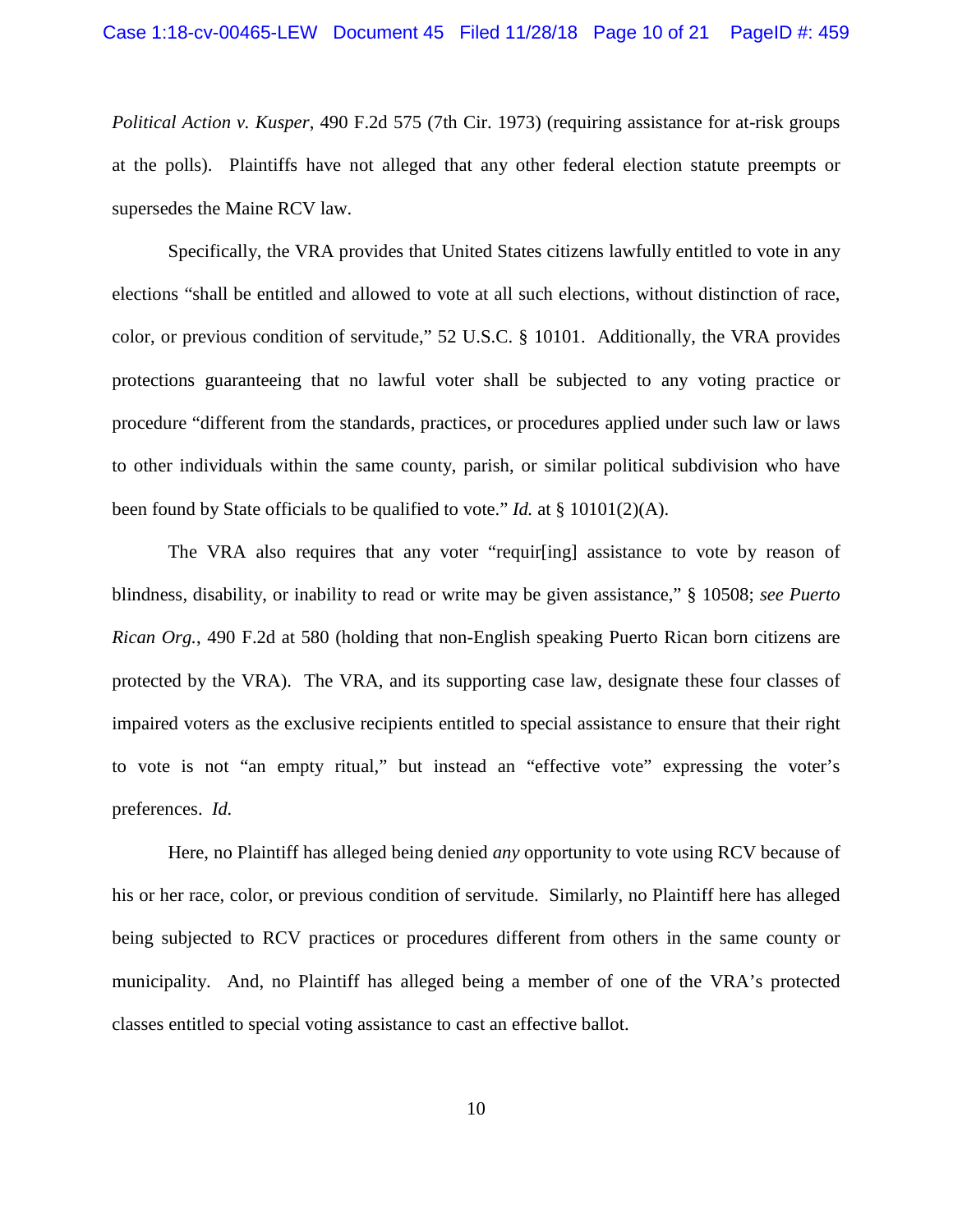*Political Action v. Kusper*, 490 F.2d 575 (7th Cir. 1973) (requiring assistance for at-risk groups at the polls). Plaintiffs have not alleged that any other federal election statute preempts or supersedes the Maine RCV law.

Specifically, the VRA provides that United States citizens lawfully entitled to vote in any elections "shall be entitled and allowed to vote at all such elections, without distinction of race, color, or previous condition of servitude," 52 U.S.C. § 10101. Additionally, the VRA provides protections guaranteeing that no lawful voter shall be subjected to any voting practice or procedure "different from the standards, practices, or procedures applied under such law or laws to other individuals within the same county, parish, or similar political subdivision who have been found by State officials to be qualified to vote." *Id.* at § 10101(2)(A).

The VRA also requires that any voter "requir[ing] assistance to vote by reason of blindness, disability, or inability to read or write may be given assistance," § 10508; *see Puerto Rican Org.*, 490 F.2d at 580 (holding that non-English speaking Puerto Rican born citizens are protected by the VRA). The VRA, and its supporting case law, designate these four classes of impaired voters as the exclusive recipients entitled to special assistance to ensure that their right to vote is not "an empty ritual," but instead an "effective vote" expressing the voter's preferences. *Id.*

Here, no Plaintiff has alleged being denied *any* opportunity to vote using RCV because of his or her race, color, or previous condition of servitude. Similarly, no Plaintiff here has alleged being subjected to RCV practices or procedures different from others in the same county or municipality. And, no Plaintiff has alleged being a member of one of the VRA's protected classes entitled to special voting assistance to cast an effective ballot.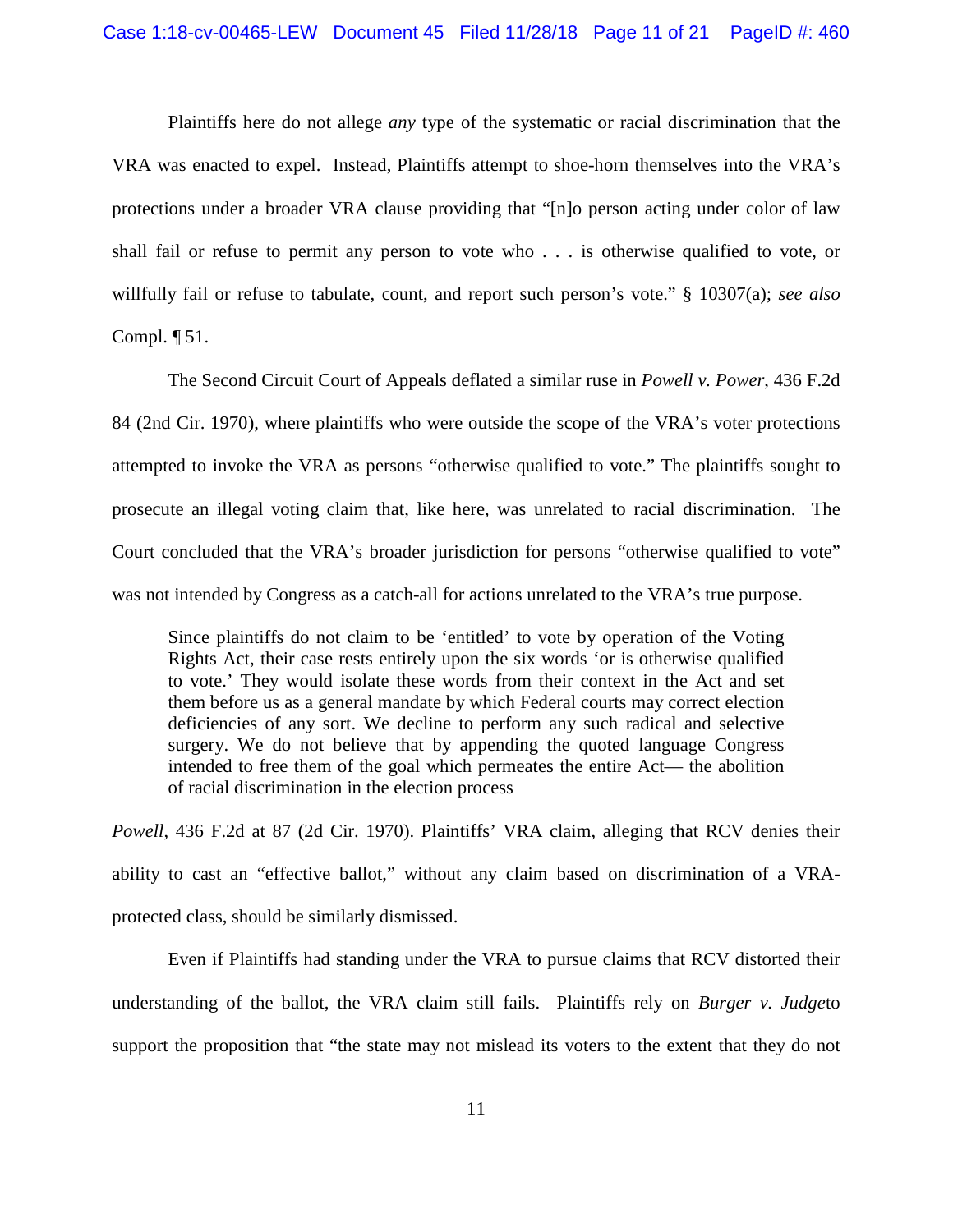Plaintiffs here do not allege *any* type of the systematic or racial discrimination that the VRA was enacted to expel. Instead, Plaintiffs attempt to shoe-horn themselves into the VRA's protections under a broader VRA clause providing that "[n]o person acting under color of law shall fail or refuse to permit any person to vote who . . . is otherwise qualified to vote, or willfully fail or refuse to tabulate, count, and report such person's vote." § 10307(a); *see also* Compl.  $\P$  51.

The Second Circuit Court of Appeals deflated a similar ruse in *Powell v. Power*, 436 F.2d 84 (2nd Cir. 1970), where plaintiffs who were outside the scope of the VRA's voter protections attempted to invoke the VRA as persons "otherwise qualified to vote." The plaintiffs sought to prosecute an illegal voting claim that, like here, was unrelated to racial discrimination. The Court concluded that the VRA's broader jurisdiction for persons "otherwise qualified to vote" was not intended by Congress as a catch-all for actions unrelated to the VRA's true purpose.

Since plaintiffs do not claim to be 'entitled' to vote by operation of the Voting Rights Act, their case rests entirely upon the six words 'or is otherwise qualified to vote.' They would isolate these words from their context in the Act and set them before us as a general mandate by which Federal courts may correct election deficiencies of any sort. We decline to perform any such radical and selective surgery. We do not believe that by appending the quoted language Congress intended to free them of the goal which permeates the entire Act— the abolition of racial discrimination in the election process

*Powell*, 436 F.2d at 87 (2d Cir. 1970). Plaintiffs' VRA claim, alleging that RCV denies their ability to cast an "effective ballot," without any claim based on discrimination of a VRAprotected class, should be similarly dismissed.

Even if Plaintiffs had standing under the VRA to pursue claims that RCV distorted their understanding of the ballot, the VRA claim still fails. Plaintiffs rely on *Burger v. Judge*to support the proposition that "the state may not mislead its voters to the extent that they do not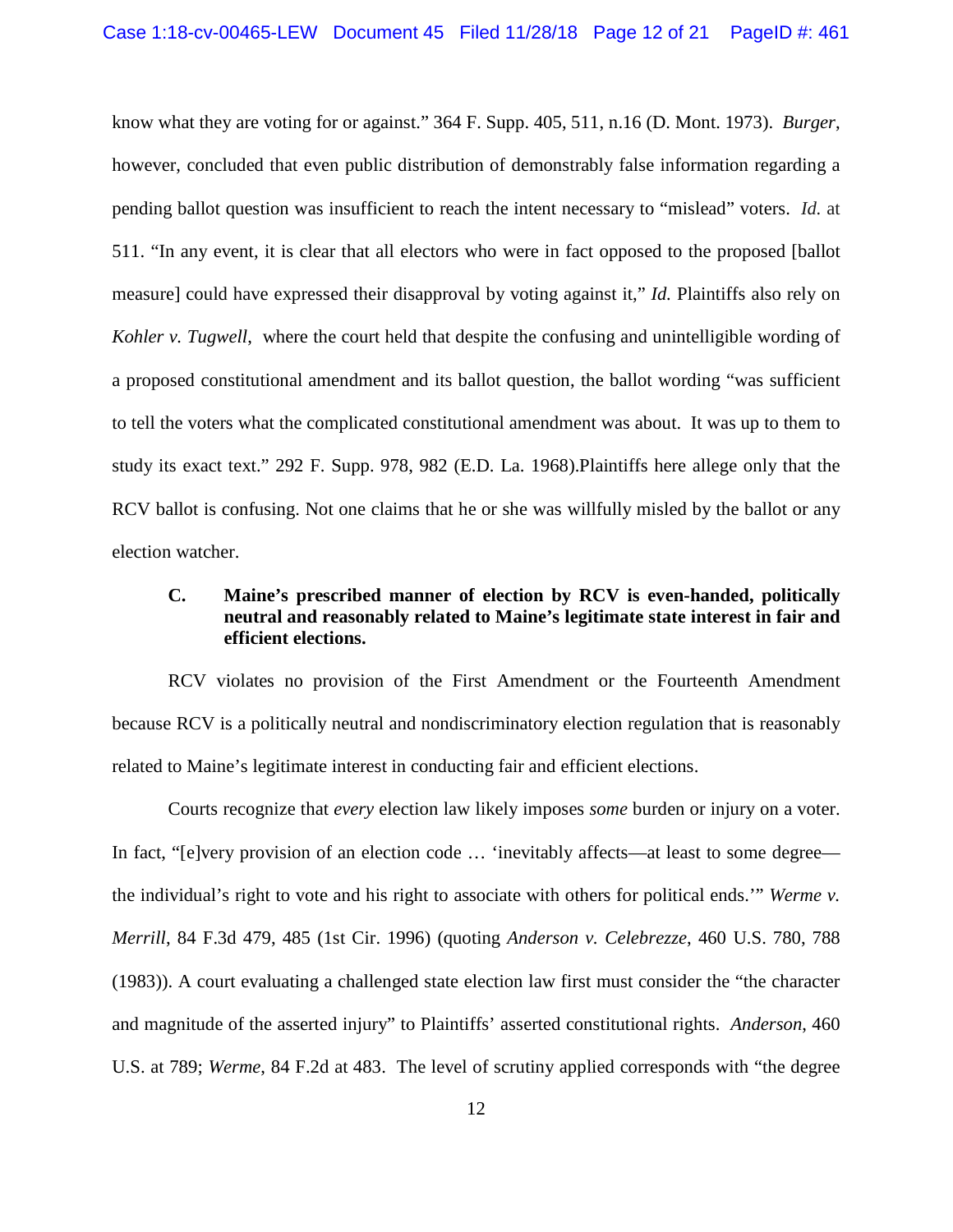know what they are voting for or against." 364 F. Supp. 405, 511, n.16 (D. Mont. 1973). *Burger*, however, concluded that even public distribution of demonstrably false information regarding a pending ballot question was insufficient to reach the intent necessary to "mislead" voters. *Id.* at 511. "In any event, it is clear that all electors who were in fact opposed to the proposed [ballot measure] could have expressed their disapproval by voting against it," *Id.* Plaintiffs also rely on *Kohler v. Tugwell*, where the court held that despite the confusing and unintelligible wording of a proposed constitutional amendment and its ballot question, the ballot wording "was sufficient to tell the voters what the complicated constitutional amendment was about. It was up to them to study its exact text." 292 F. Supp. 978, 982 (E.D. La. 1968).Plaintiffs here allege only that the RCV ballot is confusing. Not one claims that he or she was willfully misled by the ballot or any election watcher.

# **C. Maine's prescribed manner of election by RCV is even-handed, politically neutral and reasonably related to Maine's legitimate state interest in fair and efficient elections.**

RCV violates no provision of the First Amendment or the Fourteenth Amendment because RCV is a politically neutral and nondiscriminatory election regulation that is reasonably related to Maine's legitimate interest in conducting fair and efficient elections.

Courts recognize that *every* election law likely imposes *some* burden or injury on a voter. In fact, "[e]very provision of an election code ... 'inevitably affects—at least to some degree the individual's right to vote and his right to associate with others for political ends.'" *Werme v. Merrill*, 84 F.3d 479, 485 (1st Cir. 1996) (quoting *Anderson v. Celebrezze*, 460 U.S. 780, 788 (1983)). A court evaluating a challenged state election law first must consider the "the character and magnitude of the asserted injury" to Plaintiffs' asserted constitutional rights. *Anderson*, 460 U.S. at 789; *Werme*, 84 F.2d at 483. The level of scrutiny applied corresponds with "the degree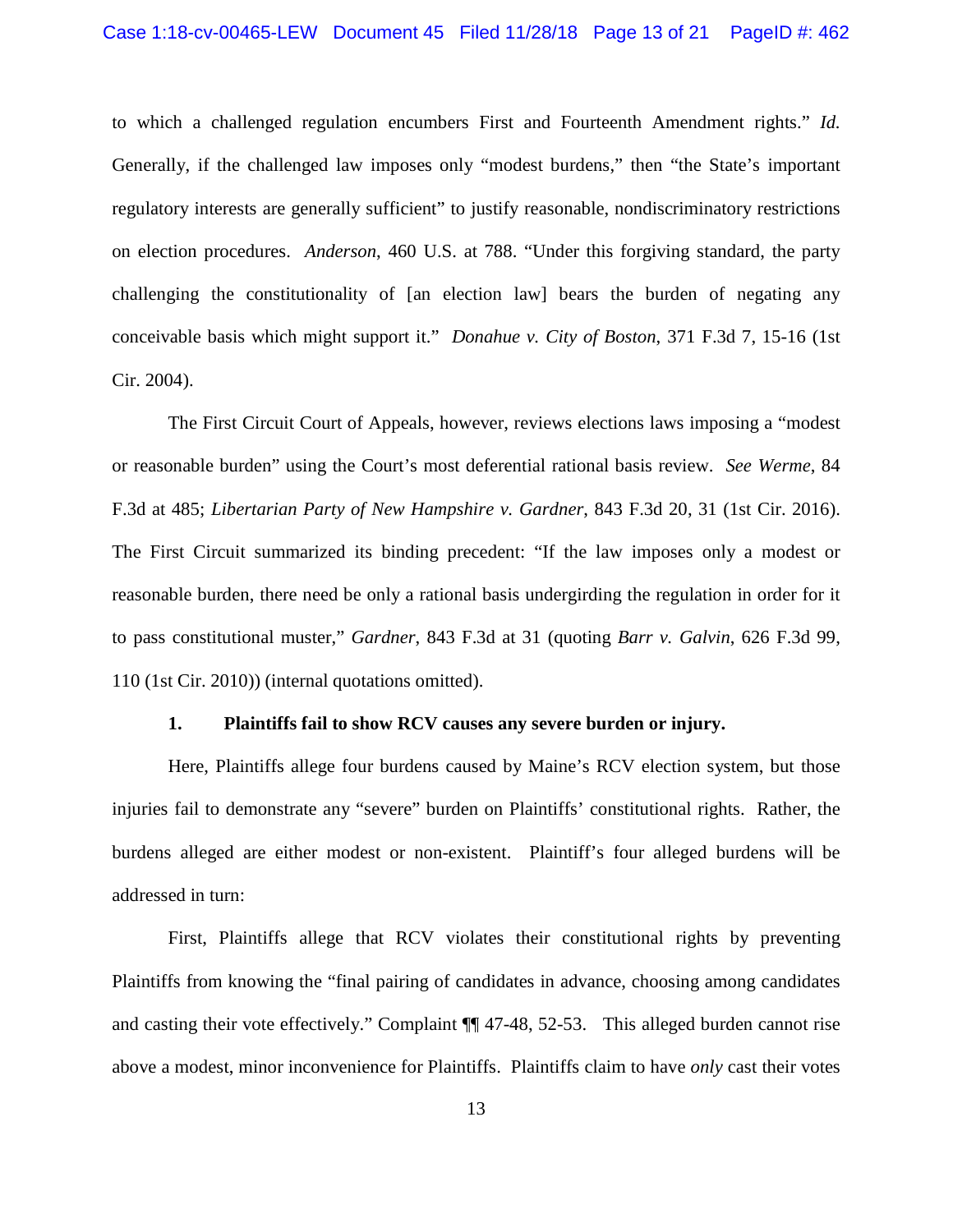to which a challenged regulation encumbers First and Fourteenth Amendment rights." *Id.* Generally, if the challenged law imposes only "modest burdens," then "the State's important regulatory interests are generally sufficient" to justify reasonable, nondiscriminatory restrictions on election procedures. *Anderson*, 460 U.S. at 788. "Under this forgiving standard, the party challenging the constitutionality of [an election law] bears the burden of negating any conceivable basis which might support it." *Donahue v. City of Boston*, 371 F.3d 7, 15-16 (1st Cir. 2004).

The First Circuit Court of Appeals, however, reviews elections laws imposing a "modest or reasonable burden" using the Court's most deferential rational basis review. *See Werme*, 84 F.3d at 485; *Libertarian Party of New Hampshire v. Gardner*, 843 F.3d 20, 31 (1st Cir. 2016). The First Circuit summarized its binding precedent: "If the law imposes only a modest or reasonable burden, there need be only a rational basis undergirding the regulation in order for it to pass constitutional muster," *Gardner*, 843 F.3d at 31 (quoting *Barr v. Galvin*, 626 F.3d 99, 110 (1st Cir. 2010)) (internal quotations omitted).

#### **1. Plaintiffs fail to show RCV causes any severe burden or injury.**

Here, Plaintiffs allege four burdens caused by Maine's RCV election system, but those injuries fail to demonstrate any "severe" burden on Plaintiffs' constitutional rights. Rather, the burdens alleged are either modest or non-existent. Plaintiff's four alleged burdens will be addressed in turn:

First, Plaintiffs allege that RCV violates their constitutional rights by preventing Plaintiffs from knowing the "final pairing of candidates in advance, choosing among candidates and casting their vote effectively." Complaint ¶¶ 47-48, 52-53. This alleged burden cannot rise above a modest, minor inconvenience for Plaintiffs. Plaintiffs claim to have *only* cast their votes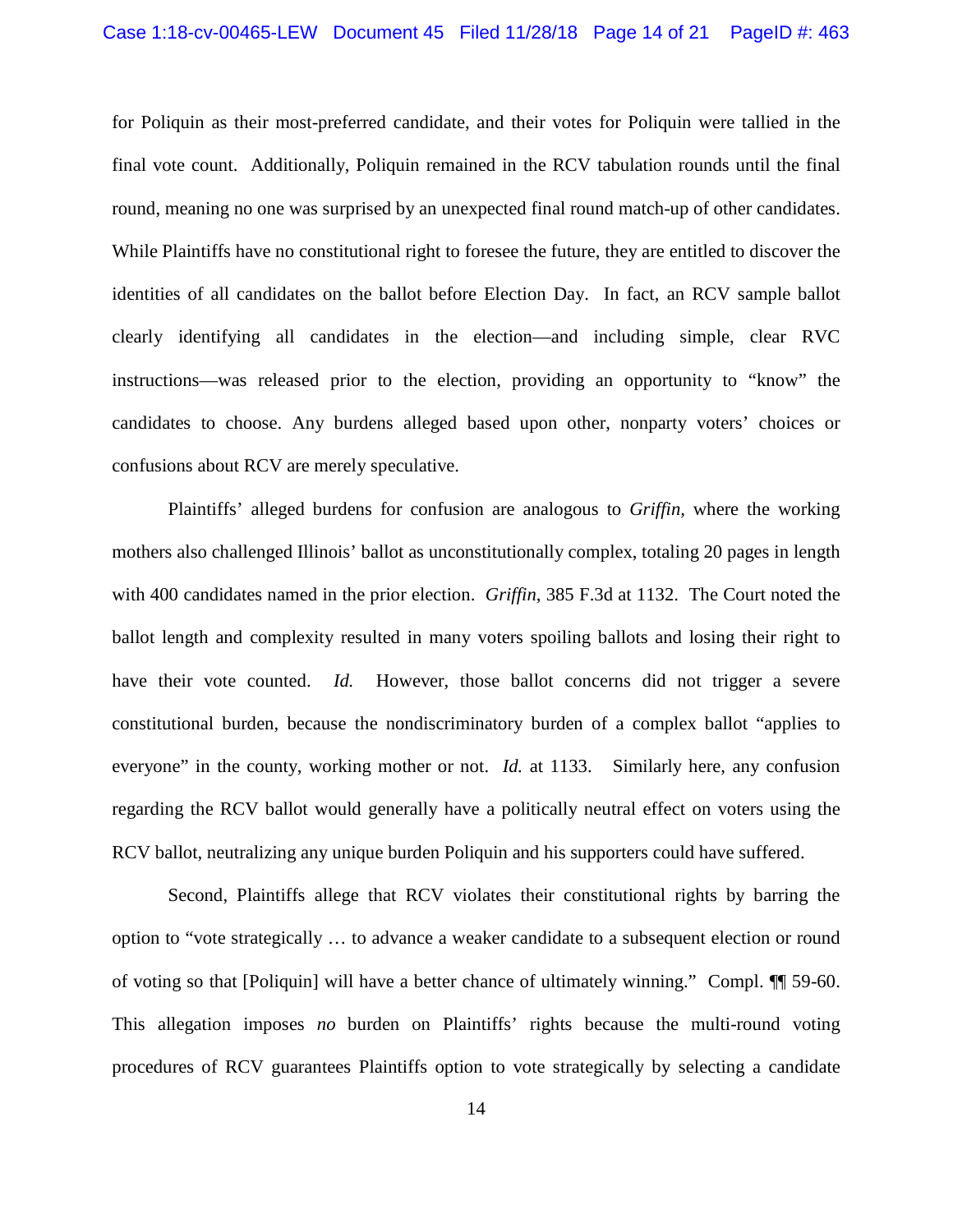#### Case 1:18-cv-00465-LEW Document 45 Filed 11/28/18 Page 14 of 21 PageID #: 463

for Poliquin as their most-preferred candidate, and their votes for Poliquin were tallied in the final vote count. Additionally, Poliquin remained in the RCV tabulation rounds until the final round, meaning no one was surprised by an unexpected final round match-up of other candidates. While Plaintiffs have no constitutional right to foresee the future, they are entitled to discover the identities of all candidates on the ballot before Election Day. In fact, an RCV sample ballot clearly identifying all candidates in the election—and including simple, clear RVC instructions—was released prior to the election, providing an opportunity to "know" the candidates to choose. Any burdens alleged based upon other, nonparty voters' choices or confusions about RCV are merely speculative.

Plaintiffs' alleged burdens for confusion are analogous to *Griffin,* where the working mothers also challenged Illinois' ballot as unconstitutionally complex, totaling 20 pages in length with 400 candidates named in the prior election. *Griffin*, 385 F.3d at 1132. The Court noted the ballot length and complexity resulted in many voters spoiling ballots and losing their right to have their vote counted. *Id.* However, those ballot concerns did not trigger a severe constitutional burden, because the nondiscriminatory burden of a complex ballot "applies to everyone" in the county, working mother or not. *Id.* at 1133. Similarly here, any confusion regarding the RCV ballot would generally have a politically neutral effect on voters using the RCV ballot, neutralizing any unique burden Poliquin and his supporters could have suffered.

Second, Plaintiffs allege that RCV violates their constitutional rights by barring the option to "vote strategically … to advance a weaker candidate to a subsequent election or round of voting so that [Poliquin] will have a better chance of ultimately winning." Compl. ¶¶ 59-60. This allegation imposes *no* burden on Plaintiffs' rights because the multi-round voting procedures of RCV guarantees Plaintiffs option to vote strategically by selecting a candidate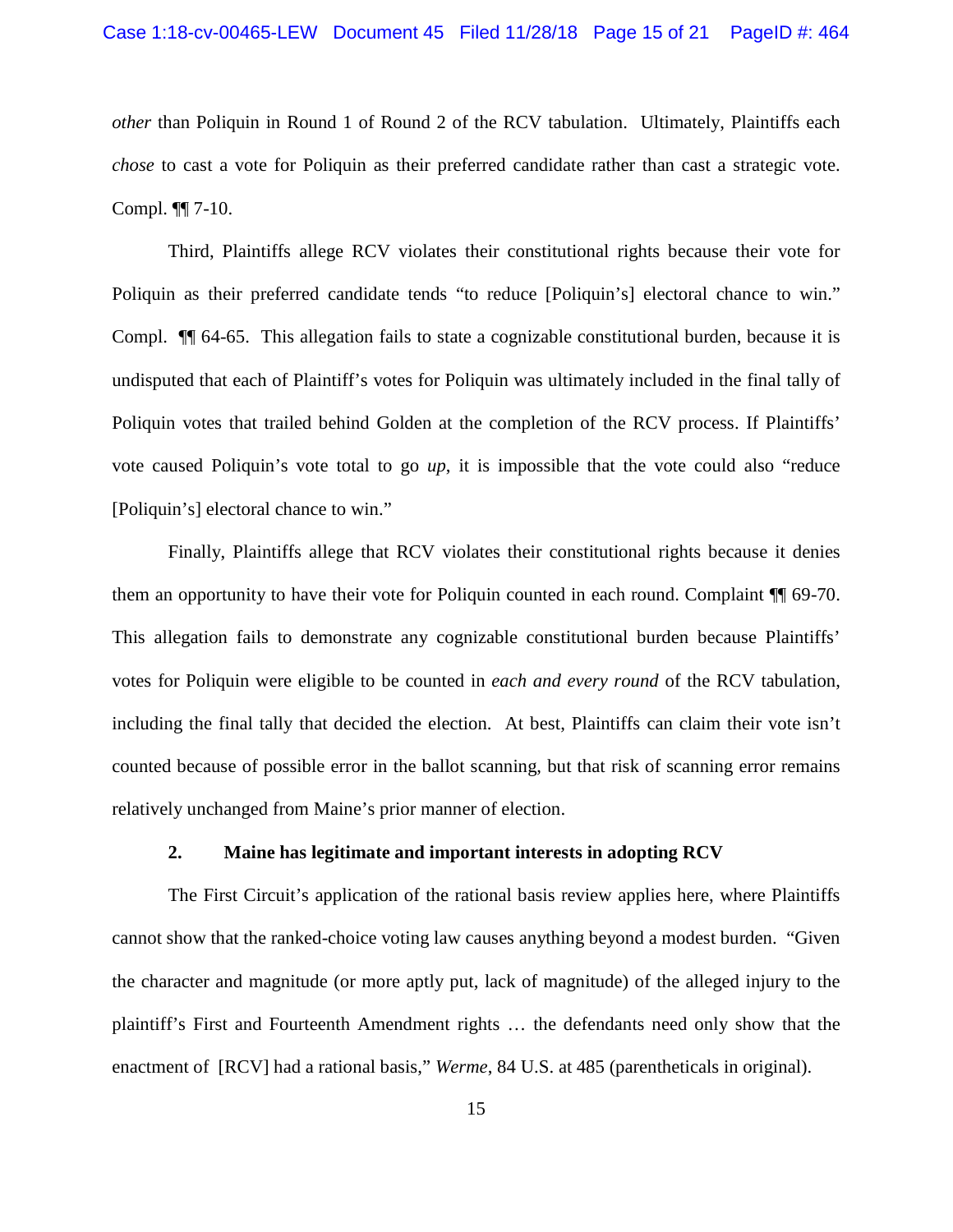*other* than Poliquin in Round 1 of Round 2 of the RCV tabulation. Ultimately, Plaintiffs each *chose* to cast a vote for Poliquin as their preferred candidate rather than cast a strategic vote. Compl. ¶¶ 7-10.

Third, Plaintiffs allege RCV violates their constitutional rights because their vote for Poliquin as their preferred candidate tends "to reduce [Poliquin's] electoral chance to win." Compl. ¶¶ 64-65. This allegation fails to state a cognizable constitutional burden, because it is undisputed that each of Plaintiff's votes for Poliquin was ultimately included in the final tally of Poliquin votes that trailed behind Golden at the completion of the RCV process. If Plaintiffs' vote caused Poliquin's vote total to go *up*, it is impossible that the vote could also "reduce [Poliquin's] electoral chance to win."

Finally, Plaintiffs allege that RCV violates their constitutional rights because it denies them an opportunity to have their vote for Poliquin counted in each round. Complaint ¶¶ 69-70. This allegation fails to demonstrate any cognizable constitutional burden because Plaintiffs' votes for Poliquin were eligible to be counted in *each and every round* of the RCV tabulation, including the final tally that decided the election. At best, Plaintiffs can claim their vote isn't counted because of possible error in the ballot scanning, but that risk of scanning error remains relatively unchanged from Maine's prior manner of election.

#### **2. Maine has legitimate and important interests in adopting RCV**

The First Circuit's application of the rational basis review applies here, where Plaintiffs cannot show that the ranked-choice voting law causes anything beyond a modest burden. "Given the character and magnitude (or more aptly put, lack of magnitude) of the alleged injury to the plaintiff's First and Fourteenth Amendment rights … the defendants need only show that the enactment of [RCV] had a rational basis," *Werme*, 84 U.S. at 485 (parentheticals in original).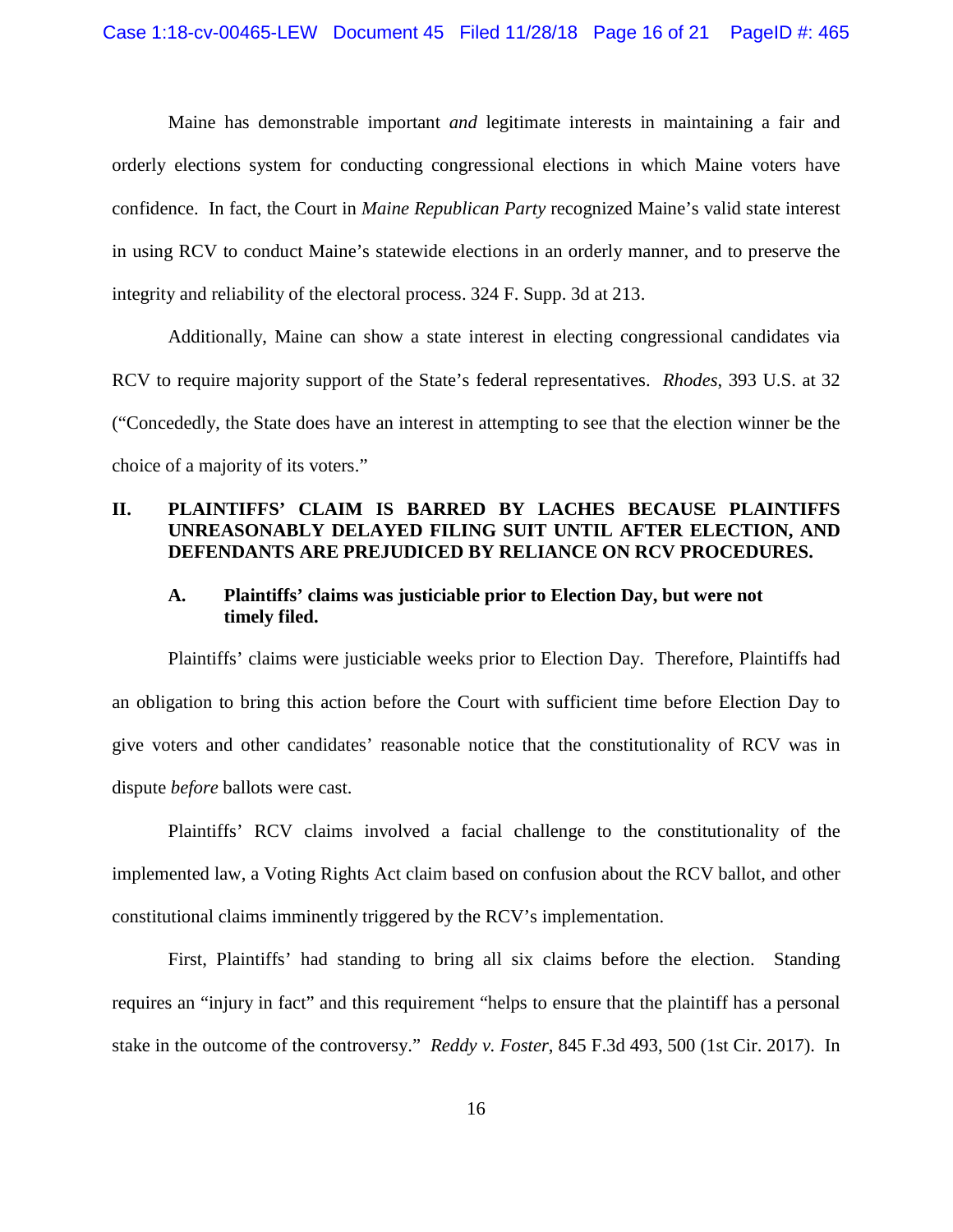Maine has demonstrable important *and* legitimate interests in maintaining a fair and orderly elections system for conducting congressional elections in which Maine voters have confidence. In fact, the Court in *Maine Republican Party* recognized Maine's valid state interest in using RCV to conduct Maine's statewide elections in an orderly manner, and to preserve the integrity and reliability of the electoral process. 324 F. Supp. 3d at 213.

Additionally, Maine can show a state interest in electing congressional candidates via RCV to require majority support of the State's federal representatives. *Rhodes*, 393 U.S. at 32 ("Concededly, the State does have an interest in attempting to see that the election winner be the choice of a majority of its voters."

## **II. PLAINTIFFS' CLAIM IS BARRED BY LACHES BECAUSE PLAINTIFFS UNREASONABLY DELAYED FILING SUIT UNTIL AFTER ELECTION, AND DEFENDANTS ARE PREJUDICED BY RELIANCE ON RCV PROCEDURES.**

### **A. Plaintiffs' claims was justiciable prior to Election Day, but were not timely filed.**

Plaintiffs' claims were justiciable weeks prior to Election Day. Therefore, Plaintiffs had an obligation to bring this action before the Court with sufficient time before Election Day to give voters and other candidates' reasonable notice that the constitutionality of RCV was in dispute *before* ballots were cast.

Plaintiffs' RCV claims involved a facial challenge to the constitutionality of the implemented law, a Voting Rights Act claim based on confusion about the RCV ballot, and other constitutional claims imminently triggered by the RCV's implementation.

First, Plaintiffs' had standing to bring all six claims before the election. Standing requires an "injury in fact" and this requirement "helps to ensure that the plaintiff has a personal stake in the outcome of the controversy." *Reddy v. Foster*, 845 F.3d 493, 500 (1st Cir. 2017). In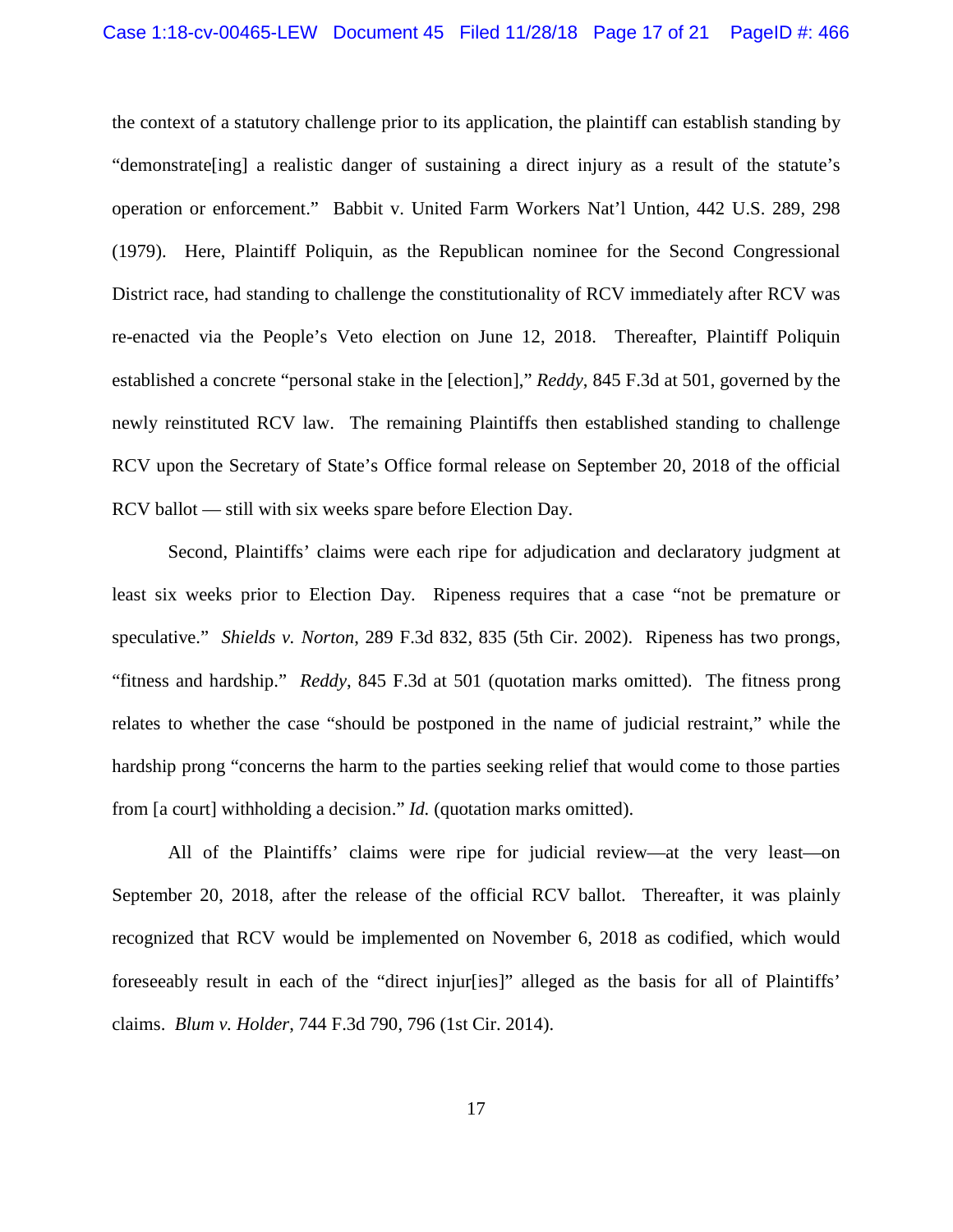the context of a statutory challenge prior to its application, the plaintiff can establish standing by "demonstrate[ing] a realistic danger of sustaining a direct injury as a result of the statute's operation or enforcement." Babbit v. United Farm Workers Nat'l Untion, 442 U.S. 289, 298 (1979). Here, Plaintiff Poliquin, as the Republican nominee for the Second Congressional District race, had standing to challenge the constitutionality of RCV immediately after RCV was re-enacted via the People's Veto election on June 12, 2018. Thereafter, Plaintiff Poliquin established a concrete "personal stake in the [election]," *Reddy*, 845 F.3d at 501, governed by the newly reinstituted RCV law. The remaining Plaintiffs then established standing to challenge RCV upon the Secretary of State's Office formal release on September 20, 2018 of the official RCV ballot — still with six weeks spare before Election Day.

Second, Plaintiffs' claims were each ripe for adjudication and declaratory judgment at least six weeks prior to Election Day. Ripeness requires that a case "not be premature or speculative." *Shields v. Norton*, 289 F.3d 832, 835 (5th Cir. 2002). Ripeness has two prongs, "fitness and hardship." *Reddy*, 845 F.3d at 501 (quotation marks omitted). The fitness prong relates to whether the case "should be postponed in the name of judicial restraint," while the hardship prong "concerns the harm to the parties seeking relief that would come to those parties from [a court] withholding a decision." *Id.* (quotation marks omitted).

All of the Plaintiffs' claims were ripe for judicial review—at the very least—on September 20, 2018, after the release of the official RCV ballot. Thereafter, it was plainly recognized that RCV would be implemented on November 6, 2018 as codified, which would foreseeably result in each of the "direct injur[ies]" alleged as the basis for all of Plaintiffs' claims. *Blum v. Holder*, 744 F.3d 790, 796 (1st Cir. 2014).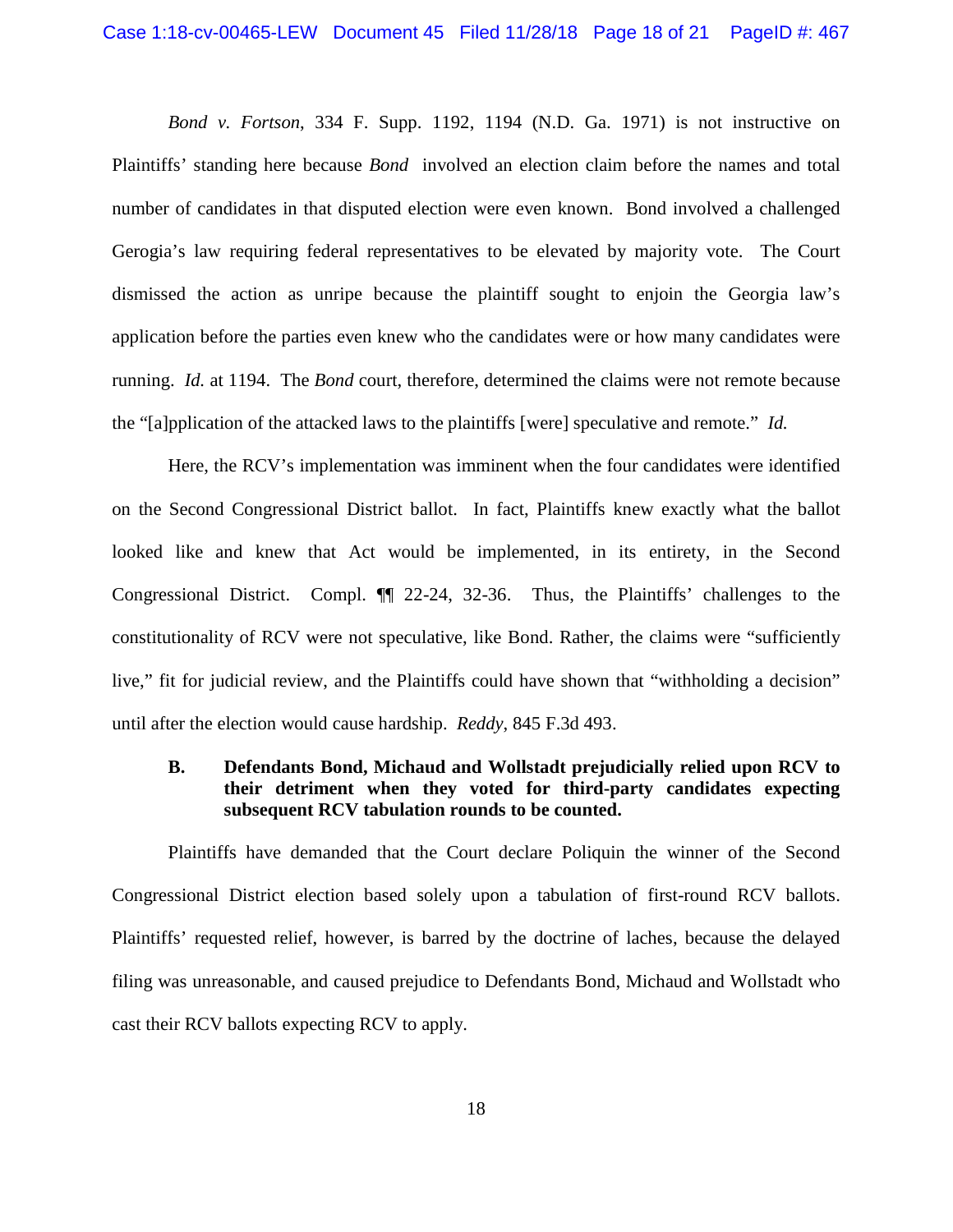*Bond v. Fortson*, 334 F. Supp. 1192, 1194 (N.D. Ga. 1971) is not instructive on Plaintiffs' standing here because *Bond* involved an election claim before the names and total number of candidates in that disputed election were even known. Bond involved a challenged Gerogia's law requiring federal representatives to be elevated by majority vote. The Court dismissed the action as unripe because the plaintiff sought to enjoin the Georgia law's application before the parties even knew who the candidates were or how many candidates were running. *Id.* at 1194. The *Bond* court, therefore, determined the claims were not remote because the "[a]pplication of the attacked laws to the plaintiffs [were] speculative and remote." *Id.* 

Here, the RCV's implementation was imminent when the four candidates were identified on the Second Congressional District ballot. In fact, Plaintiffs knew exactly what the ballot looked like and knew that Act would be implemented, in its entirety, in the Second Congressional District. Compl. ¶¶ 22-24, 32-36. Thus, the Plaintiffs' challenges to the constitutionality of RCV were not speculative, like Bond. Rather, the claims were "sufficiently live," fit for judicial review, and the Plaintiffs could have shown that "withholding a decision" until after the election would cause hardship. *Reddy*, 845 F.3d 493.

### **B. Defendants Bond, Michaud and Wollstadt prejudicially relied upon RCV to their detriment when they voted for third-party candidates expecting subsequent RCV tabulation rounds to be counted.**

Plaintiffs have demanded that the Court declare Poliquin the winner of the Second Congressional District election based solely upon a tabulation of first-round RCV ballots. Plaintiffs' requested relief, however, is barred by the doctrine of laches, because the delayed filing was unreasonable, and caused prejudice to Defendants Bond, Michaud and Wollstadt who cast their RCV ballots expecting RCV to apply.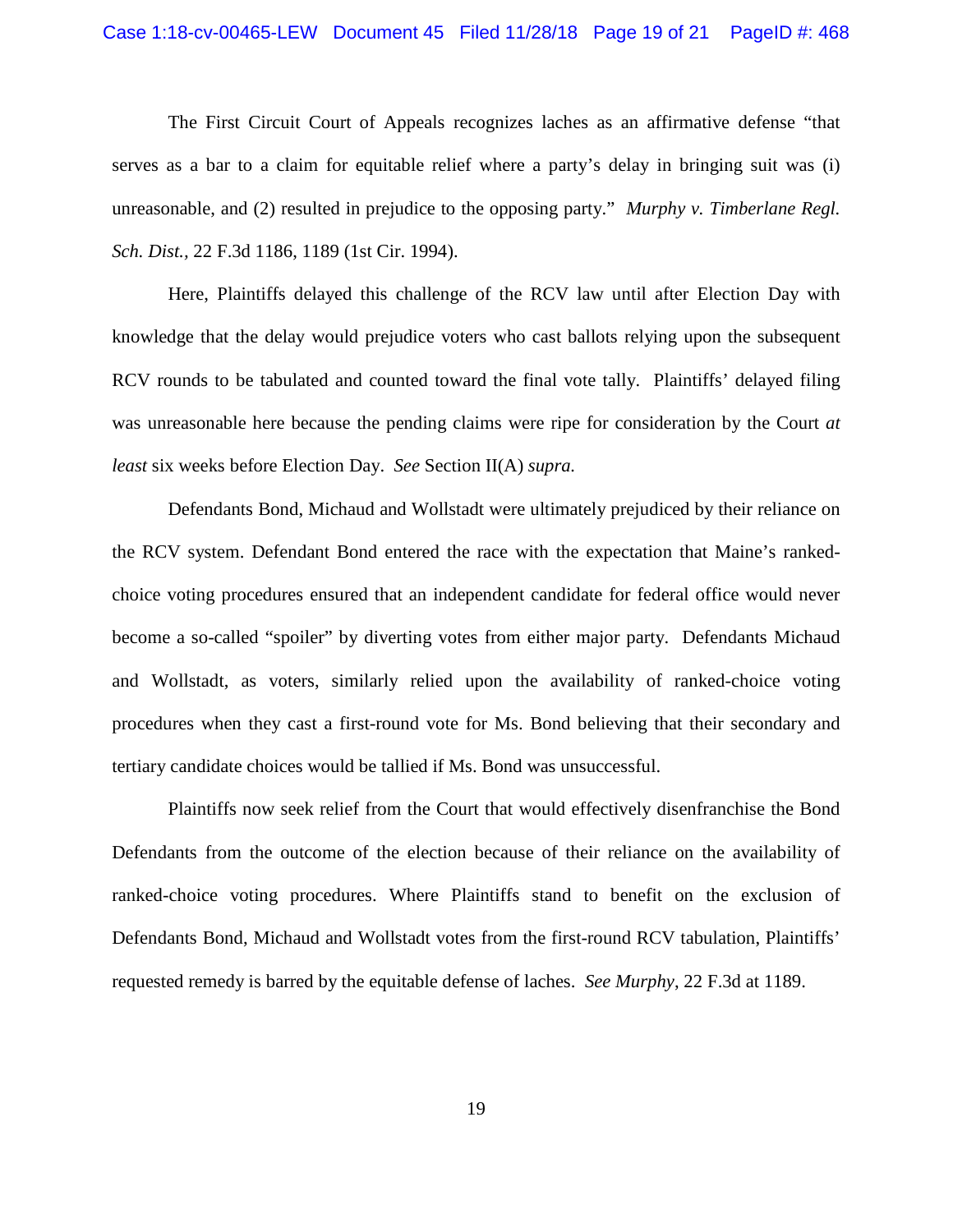#### Case 1:18-cv-00465-LEW Document 45 Filed 11/28/18 Page 19 of 21 PageID #: 468

The First Circuit Court of Appeals recognizes laches as an affirmative defense "that serves as a bar to a claim for equitable relief where a party's delay in bringing suit was (i) unreasonable, and (2) resulted in prejudice to the opposing party." *Murphy v. Timberlane Regl. Sch. Dist.,* 22 F.3d 1186, 1189 (1st Cir. 1994).

Here, Plaintiffs delayed this challenge of the RCV law until after Election Day with knowledge that the delay would prejudice voters who cast ballots relying upon the subsequent RCV rounds to be tabulated and counted toward the final vote tally. Plaintiffs' delayed filing was unreasonable here because the pending claims were ripe for consideration by the Court *at least* six weeks before Election Day. *See* Section II(A) *supra.*

Defendants Bond, Michaud and Wollstadt were ultimately prejudiced by their reliance on the RCV system. Defendant Bond entered the race with the expectation that Maine's rankedchoice voting procedures ensured that an independent candidate for federal office would never become a so-called "spoiler" by diverting votes from either major party. Defendants Michaud and Wollstadt, as voters, similarly relied upon the availability of ranked-choice voting procedures when they cast a first-round vote for Ms. Bond believing that their secondary and tertiary candidate choices would be tallied if Ms. Bond was unsuccessful.

Plaintiffs now seek relief from the Court that would effectively disenfranchise the Bond Defendants from the outcome of the election because of their reliance on the availability of ranked-choice voting procedures. Where Plaintiffs stand to benefit on the exclusion of Defendants Bond, Michaud and Wollstadt votes from the first-round RCV tabulation, Plaintiffs' requested remedy is barred by the equitable defense of laches. *See Murphy*, 22 F.3d at 1189.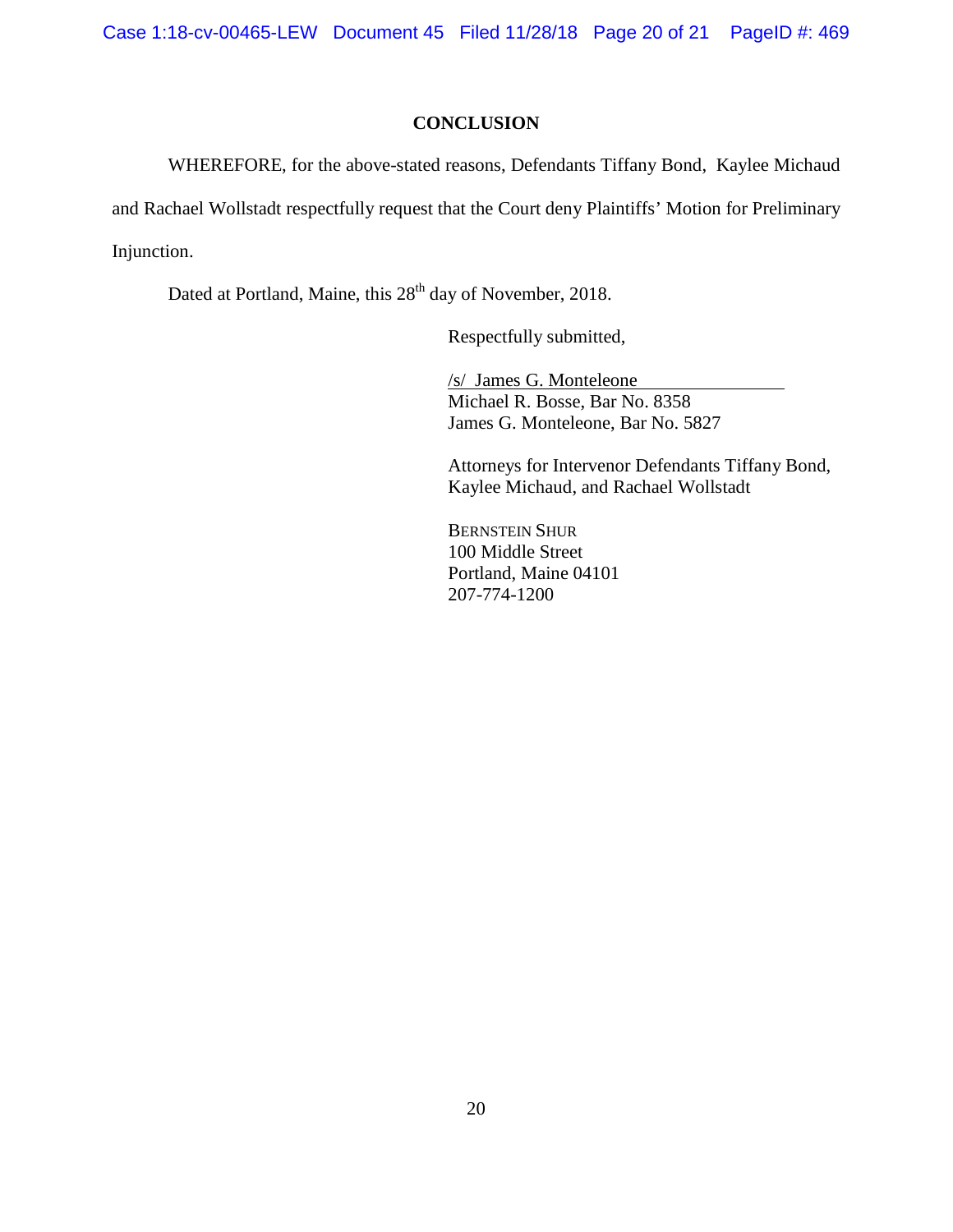Case 1:18-cv-00465-LEW Document 45 Filed 11/28/18 Page 20 of 21 PageID #: 469

### **CONCLUSION**

WHEREFORE, for the above-stated reasons, Defendants Tiffany Bond, Kaylee Michaud and Rachael Wollstadt respectfully request that the Court deny Plaintiffs' Motion for Preliminary Injunction.

Dated at Portland, Maine, this 28<sup>th</sup> day of November, 2018.

Respectfully submitted,

/s/ James G. Monteleone Michael R. Bosse, Bar No. 8358 James G. Monteleone, Bar No. 5827

Attorneys for Intervenor Defendants Tiffany Bond, Kaylee Michaud, and Rachael Wollstadt

BERNSTEIN SHUR 100 Middle Street Portland, Maine 04101 207-774-1200